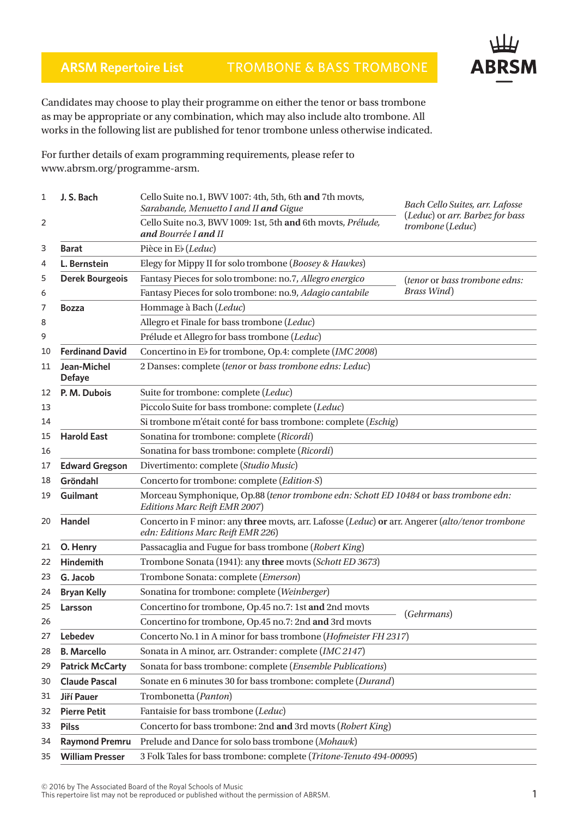## **ARSM Repertoire List** TROMBONE & BASS TROMBONE



Candidates may choose to play their programme on either the tenor or bass trombone as may be appropriate or any combination, which may also include alto trombone. All works in the following list are published for tenor trombone unless otherwise indicated.

For further details of exam programming requirements, please refer to www.abrsm.org/programme-arsm.

| 1  | J. S. Bach                   | Cello Suite no.1, BWV 1007: 4th, 5th, 6th and 7th movts,<br>Sarabande, Menuetto I and II and Gigue                                   | Bach Cello Suites, arr. Lafosse                     |  |
|----|------------------------------|--------------------------------------------------------------------------------------------------------------------------------------|-----------------------------------------------------|--|
| 2  |                              | Cello Suite no.3, BWV 1009: 1st, 5th and 6th movts, Prélude,<br>and Bourrée I and II                                                 | (Leduc) or arr. Barbez for bass<br>trombone (Leduc) |  |
| 3  | <b>Barat</b>                 | Pièce in Eb (Leduc)                                                                                                                  |                                                     |  |
| 4  | L. Bernstein                 | Elegy for Mippy II for solo trombone (Boosey & Hawkes)                                                                               |                                                     |  |
| 5  | <b>Derek Bourgeois</b>       | Fantasy Pieces for solo trombone: no.7, Allegro energico                                                                             | (tenor or bass trombone edns:                       |  |
| 6  |                              | Fantasy Pieces for solo trombone: no.9, Adagio cantabile                                                                             | <b>Brass Wind</b> )                                 |  |
| 7  | <b>Bozza</b>                 | Hommage à Bach (Leduc)                                                                                                               |                                                     |  |
| 8  |                              | Allegro et Finale for bass trombone (Leduc)                                                                                          |                                                     |  |
| 9  |                              | Prélude et Allegro for bass trombone (Leduc)                                                                                         |                                                     |  |
| 10 | <b>Ferdinand David</b>       | Concertino in Eb for trombone, Op.4: complete (IMC 2008)                                                                             |                                                     |  |
| 11 | Jean-Michel<br><b>Defaye</b> | 2 Danses: complete (tenor or bass trombone edns: Leduc)                                                                              |                                                     |  |
| 12 | P. M. Dubois                 | Suite for trombone: complete (Leduc)                                                                                                 |                                                     |  |
| 13 |                              | Piccolo Suite for bass trombone: complete (Leduc)                                                                                    |                                                     |  |
| 14 |                              | Si trombone m'était conté for bass trombone: complete (Eschig)                                                                       |                                                     |  |
| 15 | <b>Harold East</b>           | Sonatina for trombone: complete (Ricordi)                                                                                            |                                                     |  |
| 16 |                              | Sonatina for bass trombone: complete (Ricordi)                                                                                       |                                                     |  |
| 17 | <b>Edward Gregson</b>        | Divertimento: complete (Studio Music)                                                                                                |                                                     |  |
| 18 | Gröndahl                     | Concerto for trombone: complete (Edition S)                                                                                          |                                                     |  |
| 19 | <b>Guilmant</b>              | Morceau Symphonique, Op.88 (tenor trombone edn: Schott ED 10484 or bass trombone edn:<br>Editions Marc Reift EMR 2007)               |                                                     |  |
| 20 | Handel                       | Concerto in F minor: any three movts, arr. Lafosse (Leduc) or arr. Angerer (alto/tenor trombone<br>edn: Editions Marc Reift EMR 226) |                                                     |  |
| 21 | O. Henry                     | Passacaglia and Fugue for bass trombone (Robert King)                                                                                |                                                     |  |
| 22 | <b>Hindemith</b>             | Trombone Sonata (1941): any three movts (Schott ED 3673)                                                                             |                                                     |  |
| 23 | G. Jacob                     | Trombone Sonata: complete (Emerson)                                                                                                  |                                                     |  |
| 24 | <b>Bryan Kelly</b>           | Sonatina for trombone: complete (Weinberger)                                                                                         |                                                     |  |
| 25 | Larsson                      | Concertino for trombone, Op.45 no.7: 1st and 2nd movts                                                                               | (Gehrmans)                                          |  |
| 26 |                              | Concertino for trombone, Op.45 no.7: 2nd and 3rd movts                                                                               |                                                     |  |
| 27 | Lebedev                      | Concerto No.1 in A minor for bass trombone (Hofmeister FH 2317)                                                                      |                                                     |  |
| 28 | <b>B.</b> Marcello           | Sonata in A minor, arr. Ostrander: complete (IMC 2147)                                                                               |                                                     |  |
| 29 | <b>Patrick McCarty</b>       | Sonata for bass trombone: complete (Ensemble Publications)                                                                           |                                                     |  |
| 30 | <b>Claude Pascal</b>         | Sonate en 6 minutes 30 for bass trombone: complete (Durand)                                                                          |                                                     |  |
| 31 | Jiří Pauer                   | Trombonetta (Panton)                                                                                                                 |                                                     |  |
| 32 | <b>Pierre Petit</b>          | Fantaisie for bass trombone (Leduc)                                                                                                  |                                                     |  |
| 33 | <b>Pilss</b>                 | Concerto for bass trombone: 2nd and 3rd movts (Robert King)                                                                          |                                                     |  |
| 34 | <b>Raymond Premru</b>        | Prelude and Dance for solo bass trombone (Mohawk)                                                                                    |                                                     |  |
| 35 | <b>William Presser</b>       | 3 Folk Tales for bass trombone: complete (Tritone-Tenuto 494-00095)                                                                  |                                                     |  |

 $\geq$  2010 by the Associated board of the Royal Schools of Music<br>This repertoire list may not be reproduced or published without the permission of ABRSM.